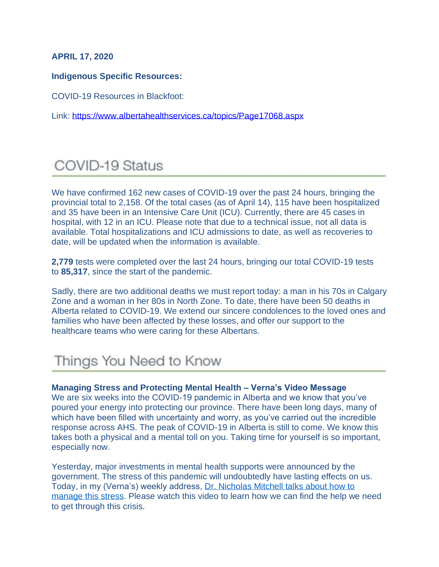### **APRIL 17, 2020**

#### **Indigenous Specific Resources:**

COVID-19 Resources in Blackfoot:

Link: <https://www.albertahealthservices.ca/topics/Page17068.aspx>

# COVID-19 Status

We have confirmed 162 new cases of COVID-19 over the past 24 hours, bringing the provincial total to 2,158. Of the total cases (as of April 14), 115 have been hospitalized and 35 have been in an Intensive Care Unit (ICU). Currently, there are 45 cases in hospital, with 12 in an ICU. Please note that due to a technical issue, not all data is available. Total hospitalizations and ICU admissions to date, as well as recoveries to date, will be updated when the information is available.

**2,779** tests were completed over the last 24 hours, bringing our total COVID-19 tests to **85,317**, since the start of the pandemic.

Sadly, there are two additional deaths we must report today: a man in his 70s in Calgary Zone and a woman in her 80s in North Zone. To date, there have been 50 deaths in Alberta related to COVID-19. We extend our sincere condolences to the loved ones and families who have been affected by these losses, and offer our support to the healthcare teams who were caring for these Albertans.

# Things You Need to Know

#### **Managing Stress and Protecting Mental Health – Verna's Video Message**

We are six weeks into the COVID-19 pandemic in Alberta and we know that you've poured your energy into protecting our province. There have been long days, many of which have been filled with uncertainty and worry, as you've carried out the incredible response across AHS. The peak of COVID-19 in Alberta is still to come. We know this takes both a physical and a mental toll on you. Taking time for yourself is so important, especially now.

Yesterday, major investments in mental health supports were announced by the government. The stress of this pandemic will undoubtedly have lasting effects on us. Today, in my (Verna's) weekly address, [Dr. Nicholas Mitchell talks about how to](https://www.albertahealthservices.ca/topics/Page17082.aspx)  [manage this stress.](https://www.albertahealthservices.ca/topics/Page17082.aspx) Please watch this video to learn how we can find the help we need to get through this crisis.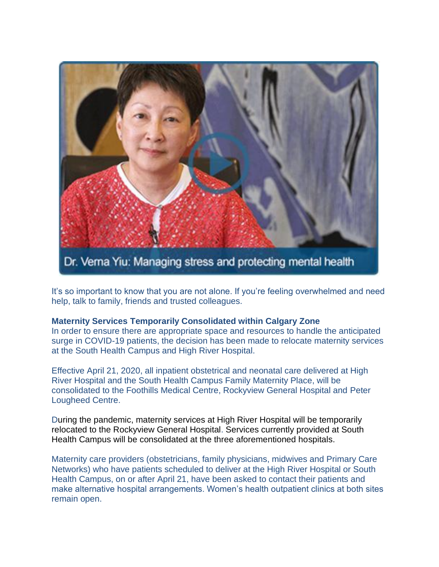

It's so important to know that you are not alone. If you're feeling overwhelmed and need help, talk to family, friends and trusted colleagues.

#### **Maternity Services Temporarily Consolidated within Calgary Zone**

In order to ensure there are appropriate space and resources to handle the anticipated surge in COVID-19 patients, the decision has been made to relocate maternity services at the South Health Campus and High River Hospital.

Effective April 21, 2020, all inpatient obstetrical and neonatal care delivered at High River Hospital and the South Health Campus Family Maternity Place, will be consolidated to the Foothills Medical Centre, Rockyview General Hospital and Peter Lougheed Centre.

During the pandemic, maternity services at High River Hospital will be temporarily relocated to the Rockyview General Hospital. Services currently provided at South Health Campus will be consolidated at the three aforementioned hospitals.

Maternity care providers (obstetricians, family physicians, midwives and Primary Care Networks) who have patients scheduled to deliver at the High River Hospital or South Health Campus, on or after April 21, have been asked to contact their patients and make alternative hospital arrangements. Women's health outpatient clinics at both sites remain open.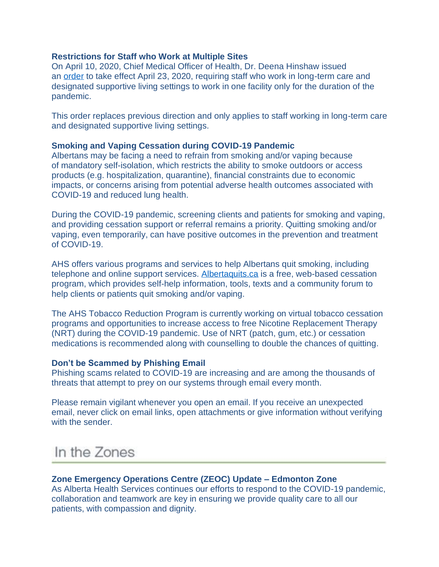#### **Restrictions for Staff who Work at Multiple Sites**

On April 10, 2020, Chief Medical Officer of Health, Dr. Deena Hinshaw issued an [order](https://open.alberta.ca/publications/cmoh-order-10-2020-2020-covid-19-response) to take effect April 23, 2020, requiring staff who work in long-term care and designated supportive living settings to work in one facility only for the duration of the pandemic.

This order replaces previous direction and only applies to staff working in long-term care and designated supportive living settings.

#### **Smoking and Vaping Cessation during COVID-19 Pandemic**

Albertans may be facing a need to refrain from smoking and/or vaping because of mandatory self-isolation, which restricts the ability to smoke outdoors or access products (e.g. hospitalization, quarantine), financial constraints due to economic impacts, or concerns arising from potential adverse health outcomes associated with COVID-19 and reduced lung health.

During the COVID-19 pandemic, screening clients and patients for smoking and vaping, and providing cessation support or referral remains a priority. Quitting smoking and/or vaping, even temporarily, can have positive outcomes in the prevention and treatment of COVID-19.

AHS offers various programs and services to help Albertans quit smoking, including telephone and online support services. [Albertaquits.ca](http://www.albertaquits.ca/) is a free, web-based cessation program, which provides self-help information, tools, texts and a community forum to help clients or patients quit smoking and/or vaping.

The AHS Tobacco Reduction Program is currently working on virtual tobacco cessation programs and opportunities to increase access to free Nicotine Replacement Therapy (NRT) during the COVID-19 pandemic. Use of NRT (patch, gum, etc.) or cessation medications is recommended along with counselling to double the chances of quitting.

#### **Don't be Scammed by Phishing Email**

Phishing scams related to COVID-19 are increasing and are among the thousands of threats that attempt to prey on our systems through email every month.

Please remain vigilant whenever you open an email. If you receive an unexpected email, never click on email links, open attachments or give information without verifying with the sender.

## In the Zones

#### **Zone Emergency Operations Centre (ZEOC) Update – Edmonton Zone**

As Alberta Health Services continues our efforts to respond to the COVID-19 pandemic, collaboration and teamwork are key in ensuring we provide quality care to all our patients, with compassion and dignity.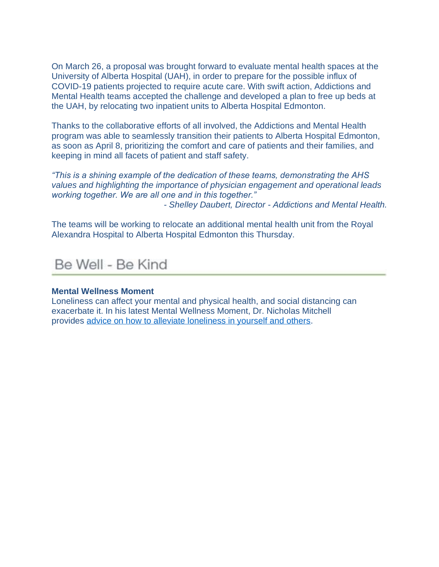On March 26, a proposal was brought forward to evaluate mental health spaces at the University of Alberta Hospital (UAH), in order to prepare for the possible influx of COVID-19 patients projected to require acute care. With swift action, Addictions and Mental Health teams accepted the challenge and developed a plan to free up beds at the UAH, by relocating two inpatient units to Alberta Hospital Edmonton.

Thanks to the collaborative efforts of all involved, the Addictions and Mental Health program was able to seamlessly transition their patients to Alberta Hospital Edmonton, as soon as April 8, prioritizing the comfort and care of patients and their families, and keeping in mind all facets of patient and staff safety.

*"This is a shining example of the dedication of these teams, demonstrating the AHS values and highlighting the importance of physician engagement and operational leads working together. We are all one and in this together."*

*- Shelley Daubert, Director - Addictions and Mental Health.*

The teams will be working to relocate an additional mental health unit from the Royal Alexandra Hospital to Alberta Hospital Edmonton this Thursday.

## Be Well - Be Kind

#### **Mental Wellness Moment**

Loneliness can affect your mental and physical health, and social distancing can exacerbate it. In his latest Mental Wellness Moment, Dr. Nicholas Mitchell provides advice on how to [alleviate loneliness in yourself and others.](https://www.albertahealthservices.ca/topics/Page17012.aspx)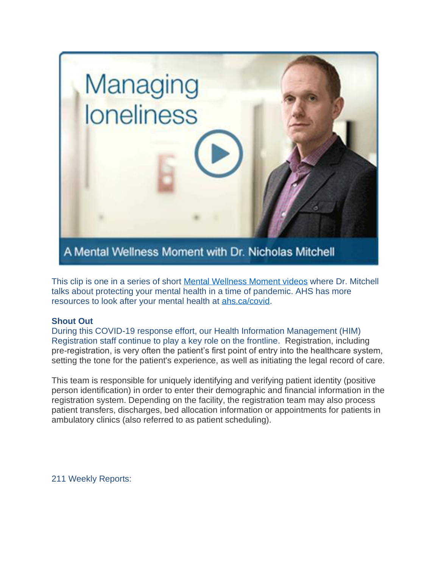

This clip is one in a series of short [Mental Wellness Moment videos](https://www.albertahealthservices.ca/topics/Page17012.aspx) where Dr. Mitchell talks about protecting your mental health in a time of pandemic. AHS has more resources to look after your mental health at [ahs.ca/covid.](http://www.ahs.ca/covid)

### **Shout Out**

During this COVID-19 response effort, our Health Information Management (HIM) Registration staff continue to play a key role on the frontline. Registration, including pre-registration, is very often the patient's first point of entry into the healthcare system, setting the tone for the patient's experience, as well as initiating the legal record of care.

This team is responsible for uniquely identifying and verifying patient identity (positive person identification) in order to enter their demographic and financial information in the registration system. Depending on the facility, the registration team may also process patient transfers, discharges, bed allocation information or appointments for patients in ambulatory clinics (also referred to as patient scheduling).

211 Weekly Reports: